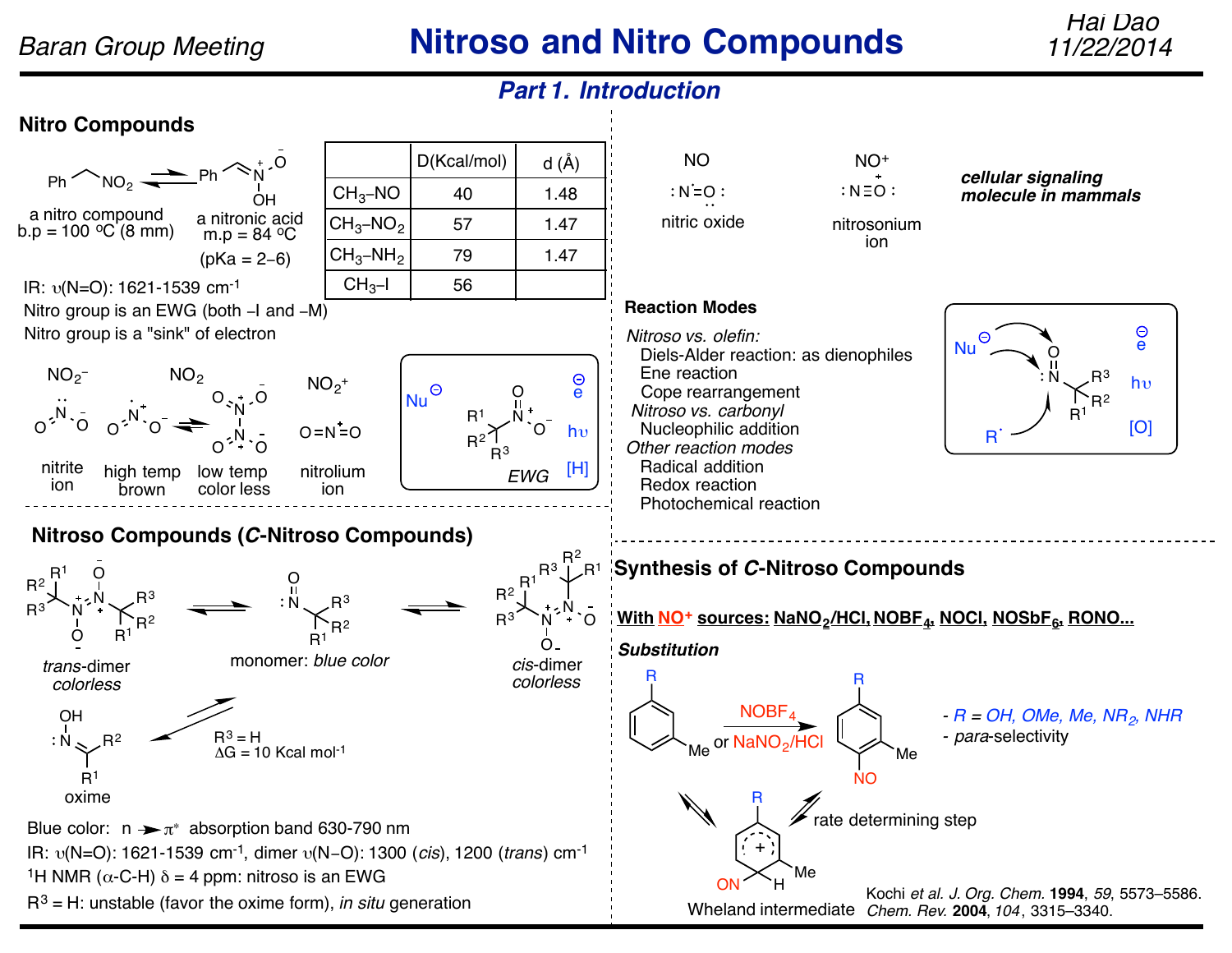**Nitro Compounds**

a nitro compound

 $R^3$  N

O

*trans*-dimer *colorless*

N O

O O

 $R^3$ 

 $-$  NO<sub>2</sub>

high temp brown

N O

l`R<sup>2</sup><br>R<sup>1</sup>

 $R^1$  $R^2$ 

 $NO<sub>2</sub>$ 

nitrite ion

O N



 $\mathsf{NOBF}_4$ 

or <mark>NaNO<sub>2</sub>/HCl</mark>

Me

R

+

 $R^3 = H$  $\mathsf{R}^2$   $\mathsf{R}^3 = \mathsf{H}$ <br>AG = 10 Kcal mol<sup>-1</sup> OH  $R^2$  $R<sup>1</sup>$ oxime Blue color:  $n \rightarrow \pi^*$  absorption band 630-790 nm

O

IR: υ(N=O): 1621-1539 cm-1, dimer υ(N−O): 1300 (*cis*), 1200 (*trans*) cm-1

<sup>1</sup>H NMR ( $\alpha$ -C-H)  $\delta$  = 4 ppm: nitroso is an EWG

R3 = H: unstable (favor the oxime form), *in situ* generation

Kochi *et al. J. Org. Chem.* **1994**, *59*, 5573–5586. *Chem. Rev.* **2004**, *104*, 3315–3340. Wheland intermediate ON H

*- R = OH, OMe, Me, NR2, NHR*

- para-selectivity

NO

rate determining step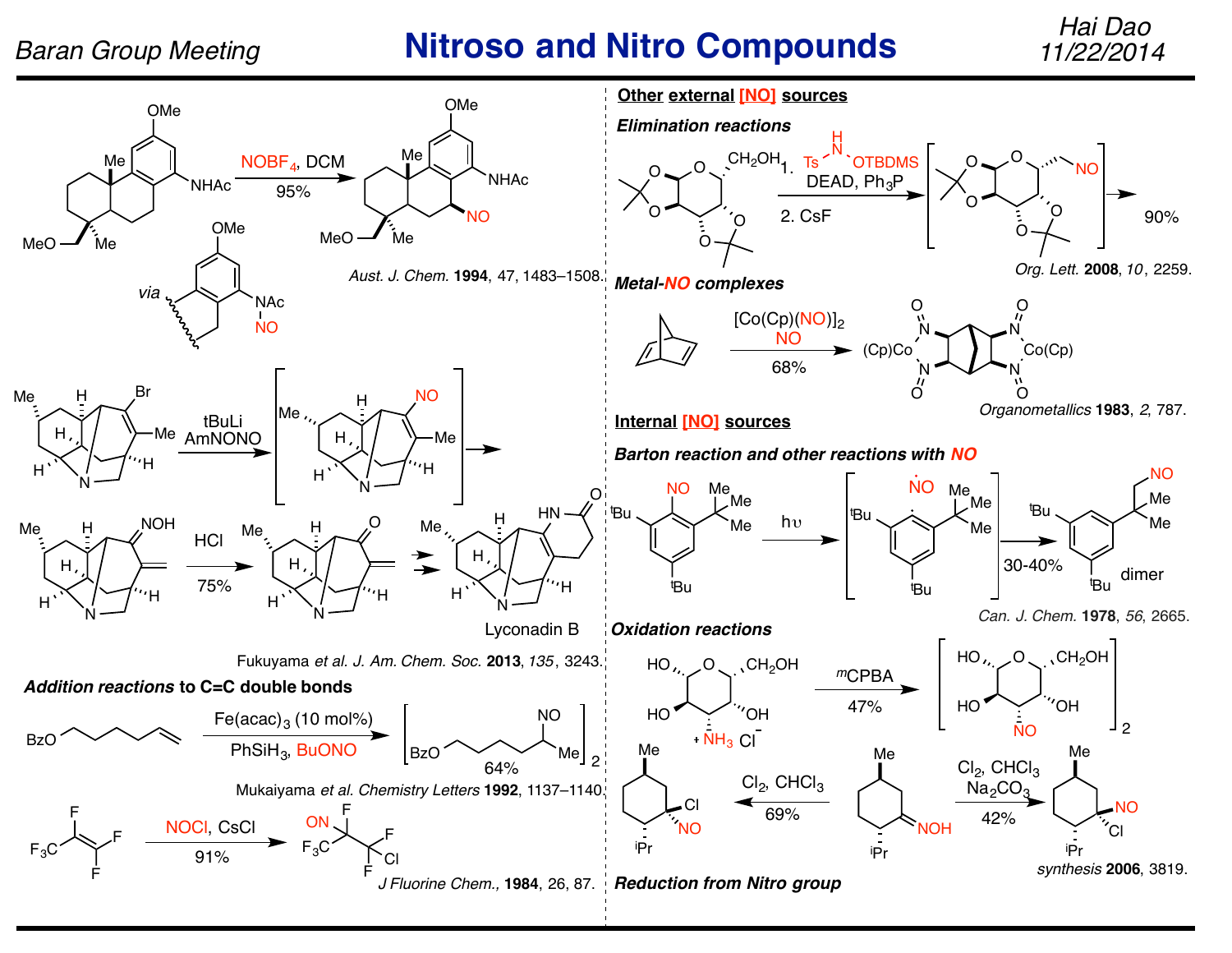# *Baran Group Meeting* **Nitroso and Nitro Compounds** *11/22/2014*

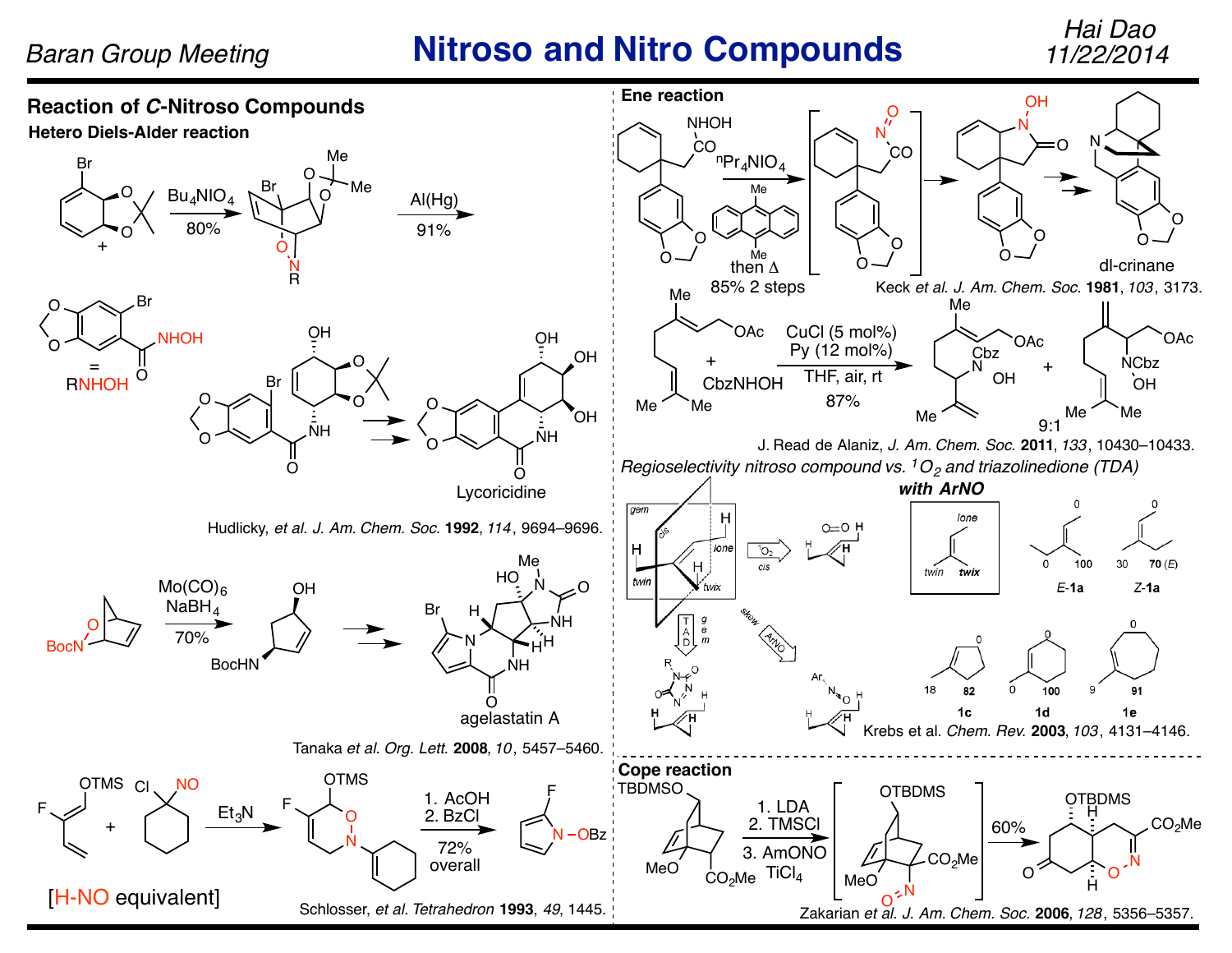## *Baran Group Meeting* **Nitroso and Nitro Compounds**

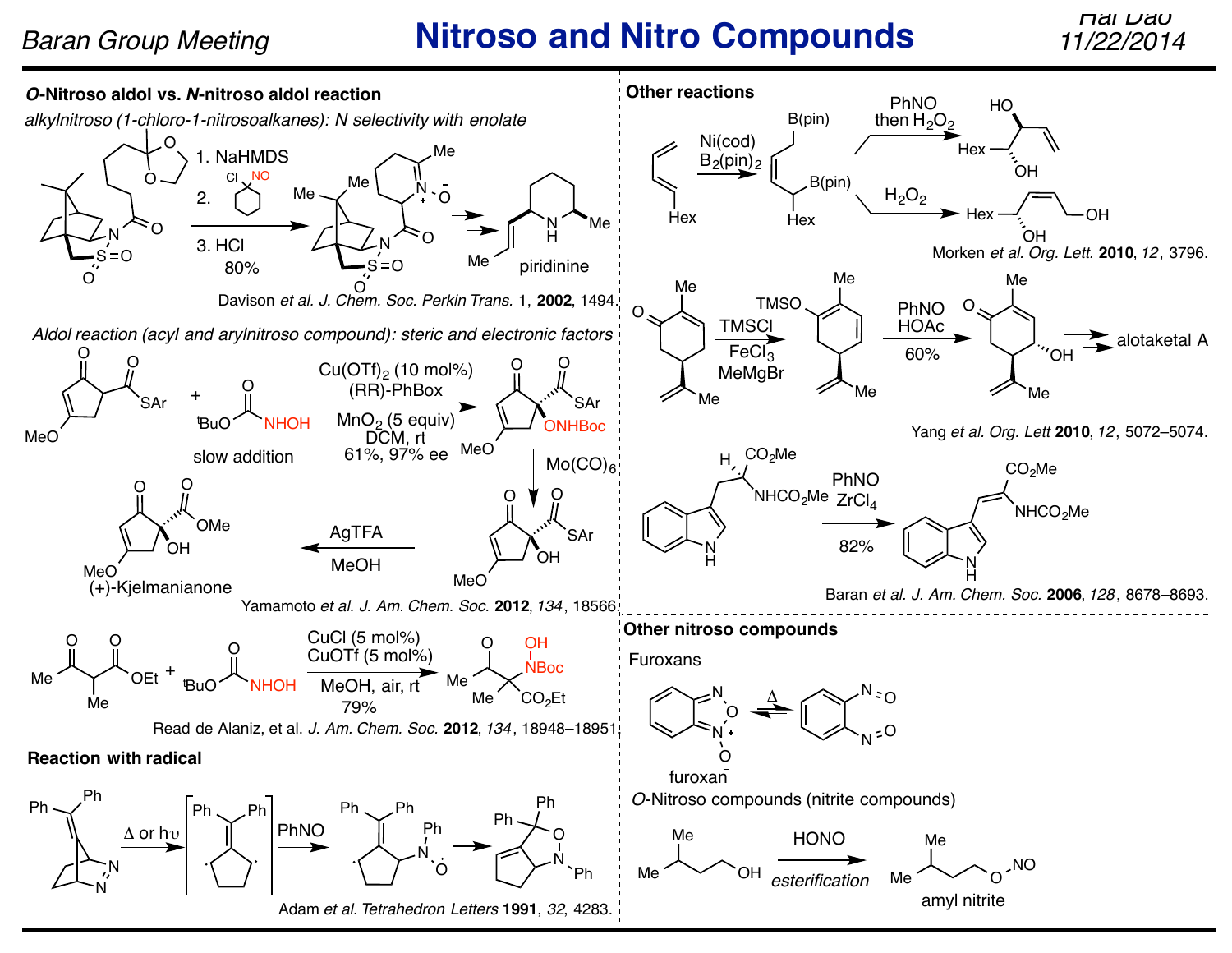# *Baran Group Meeting* **<b>Nitroso and Nitro Compounds**

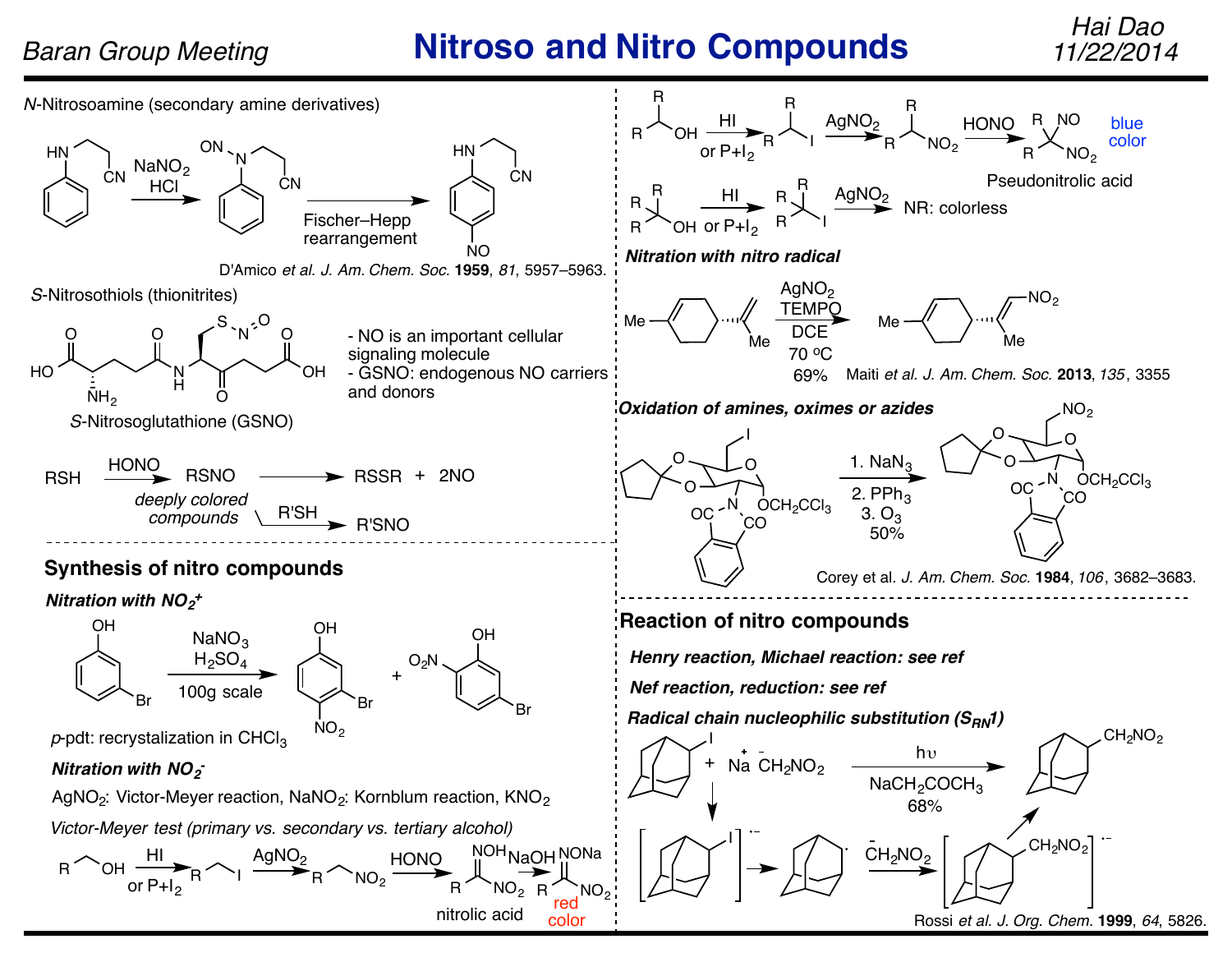# *Baran Group Meeting* **Nitroso and Nitro Compounds** *11/22/2014*

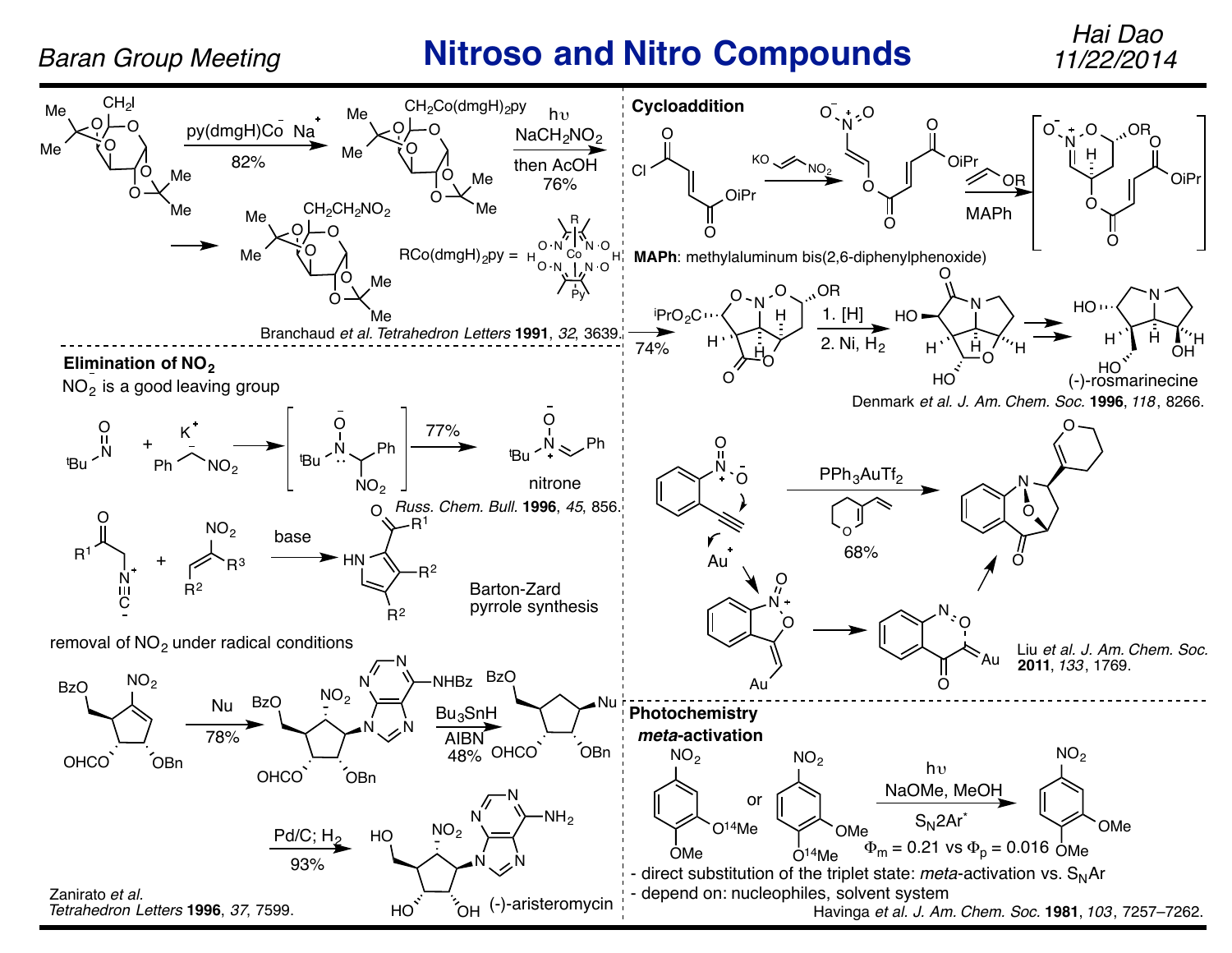## *Baran Group Meeting* **Nitroso and Nitro Compounds** *11/22/2014*